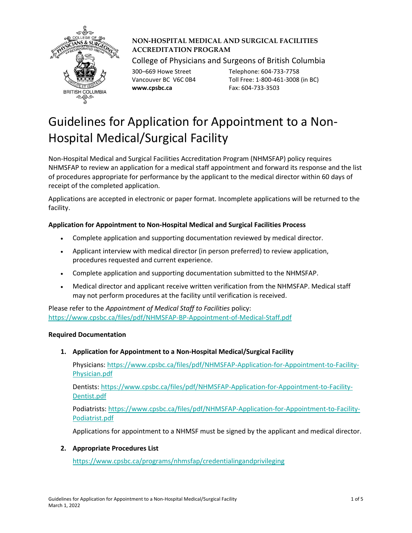

# **NON-HOSPITAL MEDICAL AND SURGICAL FACILITIES ACCREDITATION PROGRAM**

College of Physicians and Surgeons of British Columbia

**www.cpsbc.ca** Fax: 604-733-3503

300–669 Howe Street Telephone: 604-733-7758 Vancouver BC V6C 0B4 Toll Free: 1-800-461-3008 (in BC)

# Guidelines for Application for Appointment to a Non-Hospital Medical/Surgical Facility

Non-Hospital Medical and Surgical Facilities Accreditation Program (NHMSFAP) policy requires NHMSFAP to review an application for a medical staff appointment and forward its response and the list of procedures appropriate for performance by the applicant to the medical director within 60 days of receipt of the completed application.

Applications are accepted in electronic or paper format. Incomplete applications will be returned to the facility.

# **Application for Appointment to Non-Hospital Medical and Surgical Facilities Process**

- Complete application and supporting documentation reviewed by medical director.
- Applicant interview with medical director (in person preferred) to review application, procedures requested and current experience.
- Complete application and supporting documentation submitted to the NHMSFAP.
- Medical director and applicant receive written verification from the NHMSFAP. Medical staff may not perform procedures at the facility until verification is received.

Please refer to the *Appointment of Medical Staff to Facilities* policy: <https://www.cpsbc.ca/files/pdf/NHMSFAP-BP-Appointment-of-Medical-Staff.pdf>

## **Required Documentation**

**1. Application for Appointment to a Non-Hospital Medical/Surgical Facility**

Physicians: [https://www.cpsbc.ca/files/pdf/NHMSFAP-Application-for-Appointment-to-Facility-](https://www.cpsbc.ca/files/pdf/NHMSFAP-Application-for-Appointment-to-Facility-Physician.pdf)[Physician.pdf](https://www.cpsbc.ca/files/pdf/NHMSFAP-Application-for-Appointment-to-Facility-Physician.pdf)

Dentists: [https://www.cpsbc.ca/files/pdf/NHMSFAP-Application-for-Appointment-to-Facility-](https://www.cpsbc.ca/files/pdf/NHMSFAP-Application-for-Appointment-to-Facility-Dentist.pdf)[Dentist.pdf](https://www.cpsbc.ca/files/pdf/NHMSFAP-Application-for-Appointment-to-Facility-Dentist.pdf)

Podiatrists: [https://www.cpsbc.ca/files/pdf/NHMSFAP-Application-for-Appointment-to-Facility-](https://www.cpsbc.ca/files/pdf/NHMSFAP-Application-for-Appointment-to-Facility-Podiatrist.pdf)[Podiatrist.pdf](https://www.cpsbc.ca/files/pdf/NHMSFAP-Application-for-Appointment-to-Facility-Podiatrist.pdf)

Applications for appointment to a NHMSF must be signed by the applicant and medical director.

## **2. Appropriate Procedures List**

<https://www.cpsbc.ca/programs/nhmsfap/credentialingandprivileging>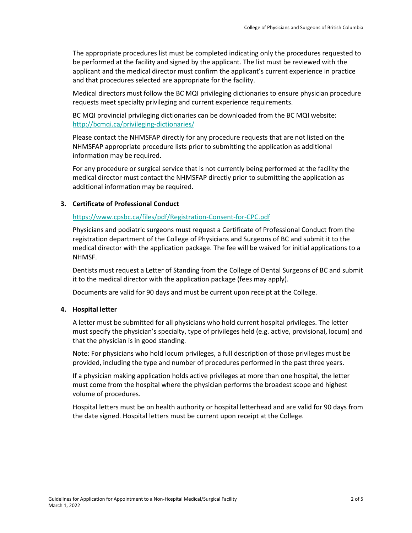The appropriate procedures list must be completed indicating only the procedures requested to be performed at the facility and signed by the applicant. The list must be reviewed with the applicant and the medical director must confirm the applicant's current experience in practice and that procedures selected are appropriate for the facility.

Medical directors must follow the BC MQI privileging dictionaries to ensure physician procedure requests meet specialty privileging and current experience requirements.

BC MQI provincial privileging dictionaries can be downloaded from the BC MQI website: <http://bcmqi.ca/privileging-dictionaries/>

Please contact the NHMSFAP directly for any procedure requests that are not listed on the NHMSFAP appropriate procedure lists prior to submitting the application as additional information may be required.

For any procedure or surgical service that is not currently being performed at the facility the medical director must contact the NHMSFAP directly prior to submitting the application as additional information may be required.

## **3. Certificate of Professional Conduct**

## <https://www.cpsbc.ca/files/pdf/Registration-Consent-for-CPC.pdf>

Physicians and podiatric surgeons must request a Certificate of Professional Conduct from the registration department of the College of Physicians and Surgeons of BC and submit it to the medical director with the application package. The fee will be waived for initial applications to a NHMSF.

Dentists must request a Letter of Standing from the College of Dental Surgeons of BC and submit it to the medical director with the application package (fees may apply).

Documents are valid for 90 days and must be current upon receipt at the College.

### **4. Hospital letter**

A letter must be submitted for all physicians who hold current hospital privileges. The letter must specify the physician's specialty, type of privileges held (e.g. active, provisional, locum) and that the physician is in good standing.

Note: For physicians who hold locum privileges, a full description of those privileges must be provided, including the type and number of procedures performed in the past three years.

If a physician making application holds active privileges at more than one hospital, the letter must come from the hospital where the physician performs the broadest scope and highest volume of procedures.

Hospital letters must be on health authority or hospital letterhead and are valid for 90 days from the date signed. Hospital letters must be current upon receipt at the College.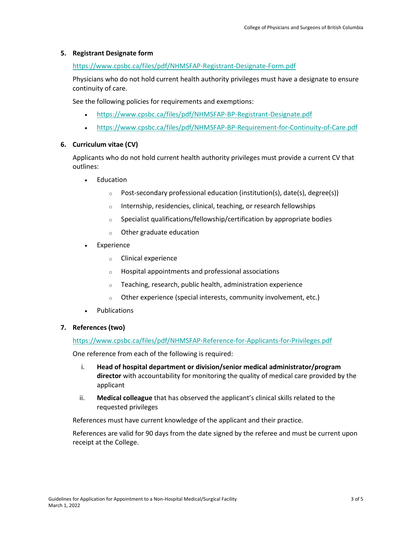### **5. Registrant Designate form**

#### <https://www.cpsbc.ca/files/pdf/NHMSFAP-Registrant-Designate-Form.pdf>

Physicians who do not hold current health authority privileges must have a designate to ensure continuity of care.

See the following policies for requirements and exemptions:

- <https://www.cpsbc.ca/files/pdf/NHMSFAP-BP-Registrant-Designate.pdf>
- <https://www.cpsbc.ca/files/pdf/NHMSFAP-BP-Requirement-for-Continuity-of-Care.pdf>

### **6. Curriculum vitae (CV)**

Applicants who do not hold current health authority privileges must provide a current CV that outlines:

- **Education** 
	- o Post-secondary professional education (institution(s), date(s), degree(s))
	- o Internship, residencies, clinical, teaching, or research fellowships
	- o Specialist qualifications/fellowship/certification by appropriate bodies
	- o Other graduate education
- **Experience** 
	- o Clinical experience
	- o Hospital appointments and professional associations
	- o Teaching, research, public health, administration experience
	- o Other experience (special interests, community involvement, etc.)
- Publications

### **7. References (two)**

<https://www.cpsbc.ca/files/pdf/NHMSFAP-Reference-for-Applicants-for-Privileges.pdf>

One reference from each of the following is required:

- i. **Head of hospital department or division/senior medical administrator/program director** with accountability for monitoring the quality of medical care provided by the applicant
- ii. **Medical colleague** that has observed the applicant's clinical skills related to the requested privileges

References must have current knowledge of the applicant and their practice.

References are valid for 90 days from the date signed by the referee and must be current upon receipt at the College.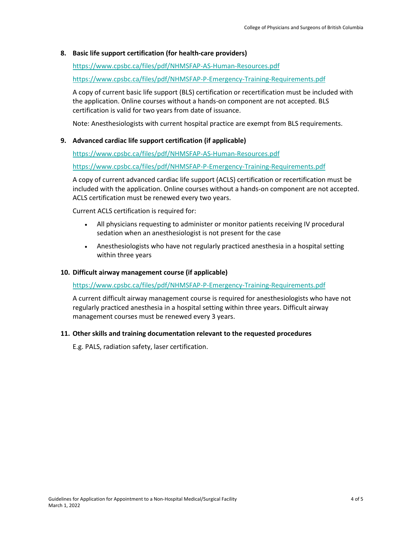### **8. Basic life support certification (for health-care providers)**

#### <https://www.cpsbc.ca/files/pdf/NHMSFAP-AS-Human-Resources.pdf>

<https://www.cpsbc.ca/files/pdf/NHMSFAP-P-Emergency-Training-Requirements.pdf>

A copy of current basic life support (BLS) certification or recertification must be included with the application. Online courses without a hands-on component are not accepted. BLS certification is valid for two years from date of issuance.

Note: Anesthesiologists with current hospital practice are exempt from BLS requirements.

#### **9. Advanced cardiac life support certification (if applicable)**

<https://www.cpsbc.ca/files/pdf/NHMSFAP-AS-Human-Resources.pdf>

<https://www.cpsbc.ca/files/pdf/NHMSFAP-P-Emergency-Training-Requirements.pdf>

A copy of current advanced cardiac life support (ACLS) certification or recertification must be included with the application. Online courses without a hands-on component are not accepted. ACLS certification must be renewed every two years.

Current ACLS certification is required for:

- All physicians requesting to administer or monitor patients receiving IV procedural sedation when an anesthesiologist is not present for the case
- Anesthesiologists who have not regularly practiced anesthesia in a hospital setting within three years

#### **10. Difficult airway management course (if applicable)**

#### <https://www.cpsbc.ca/files/pdf/NHMSFAP-P-Emergency-Training-Requirements.pdf>

A current difficult airway management course is required for anesthesiologists who have not regularly practiced anesthesia in a hospital setting within three years. Difficult airway management courses must be renewed every 3 years.

#### **11. Other skills and training documentation relevant to the requested procedures**

E.g. PALS, radiation safety, laser certification.